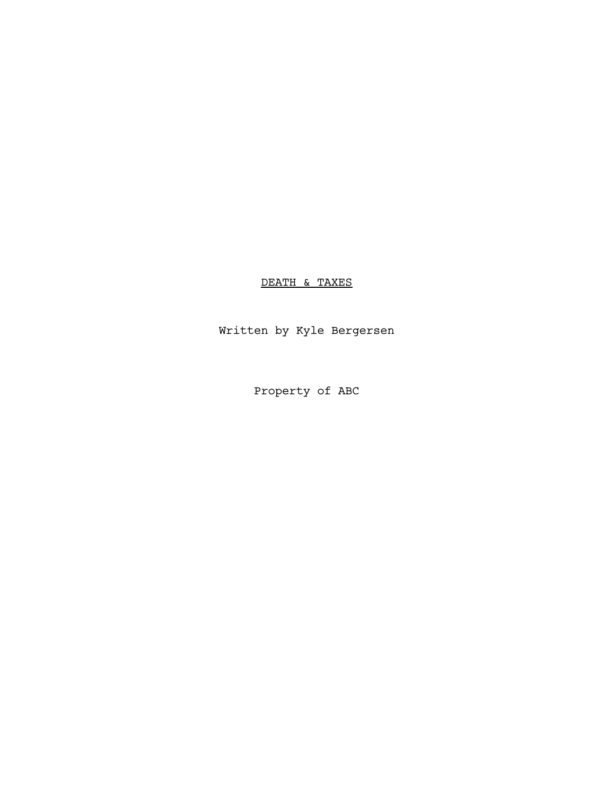DEATH & TAXES

Written by Kyle Bergersen

Property of ABC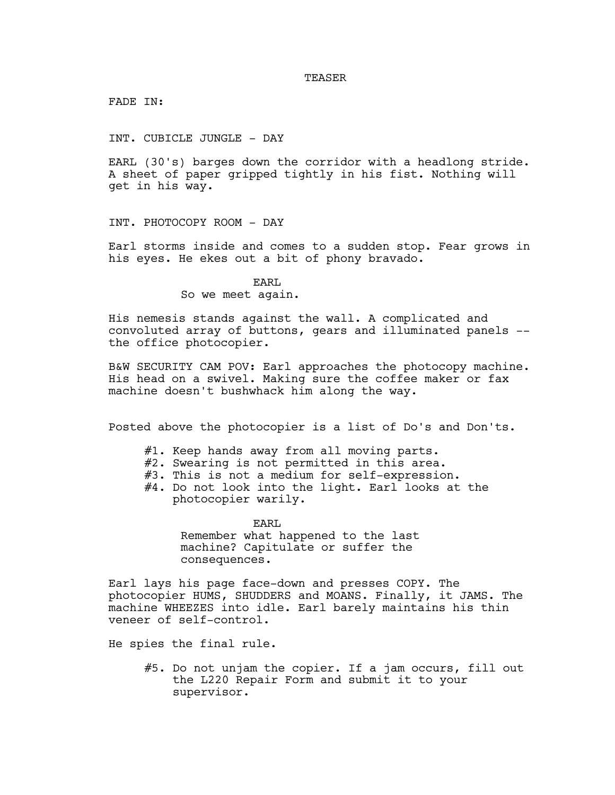### **TEASER**

FADE IN:

INT. CUBICLE JUNGLE - DAY

EARL (30's) barges down the corridor with a headlong stride. A sheet of paper gripped tightly in his fist. Nothing will get in his way.

INT. PHOTOCOPY ROOM - DAY

Earl storms inside and comes to a sudden stop. Fear grows in his eyes. He ekes out a bit of phony bravado.

> EARL So we meet again.

His nemesis stands against the wall. A complicated and convoluted array of buttons, gears and illuminated panels - the office photocopier.

B&W SECURITY CAM POV: Earl approaches the photocopy machine. His head on a swivel. Making sure the coffee maker or fax machine doesn't bushwhack him along the way.

Posted above the photocopier is a list of Do's and Don'ts.

- #1. Keep hands away from all moving parts.
- #2. Swearing is not permitted in this area.
- #3. This is not a medium for self-expression.
- #4. Do not look into the light. Earl looks at the photocopier warily.

EARL Remember what happened to the last machine? Capitulate or suffer the consequences.

Earl lays his page face-down and presses COPY. The photocopier HUMS, SHUDDERS and MOANS. Finally, it JAMS. The machine WHEEZES into idle. Earl barely maintains his thin veneer of self-control.

He spies the final rule.

#5. Do not unjam the copier. If a jam occurs, fill out the L220 Repair Form and submit it to your supervisor.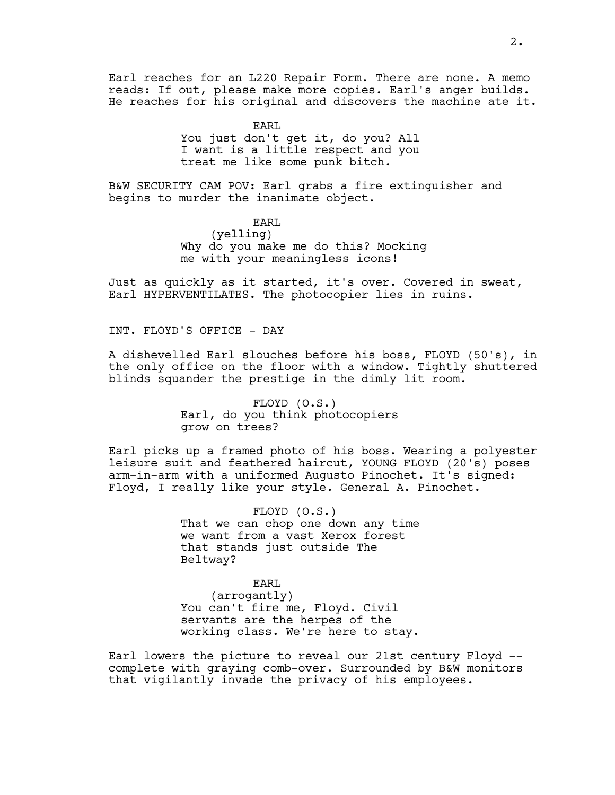Earl reaches for an L220 Repair Form. There are none. A memo reads: If out, please make more copies. Earl's anger builds. He reaches for his original and discovers the machine ate it.

> EARL You just don't get it, do you? All I want is a little respect and you treat me like some punk bitch.

B&W SECURITY CAM POV: Earl grabs a fire extinguisher and begins to murder the inanimate object.

> EARL (yelling) Why do you make me do this? Mocking me with your meaningless icons!

Just as quickly as it started, it's over. Covered in sweat, Earl HYPERVENTILATES. The photocopier lies in ruins.

INT. FLOYD'S OFFICE - DAY

A dishevelled Earl slouches before his boss, FLOYD (50's), in the only office on the floor with a window. Tightly shuttered blinds squander the prestige in the dimly lit room.

> FLOYD (O.S.) Earl, do you think photocopiers grow on trees?

Earl picks up a framed photo of his boss. Wearing a polyester leisure suit and feathered haircut, YOUNG FLOYD (20's) poses arm-in-arm with a uniformed Augusto Pinochet. It's signed: Floyd, I really like your style. General A. Pinochet.

> FLOYD (O.S.) That we can chop one down any time we want from a vast Xerox forest that stands just outside The Beltway?

### EARL

(arrogantly) You can't fire me, Floyd. Civil servants are the herpes of the working class. We're here to stay.

Earl lowers the picture to reveal our 21st century Floyd - complete with graying comb-over. Surrounded by B&W monitors that vigilantly invade the privacy of his employees.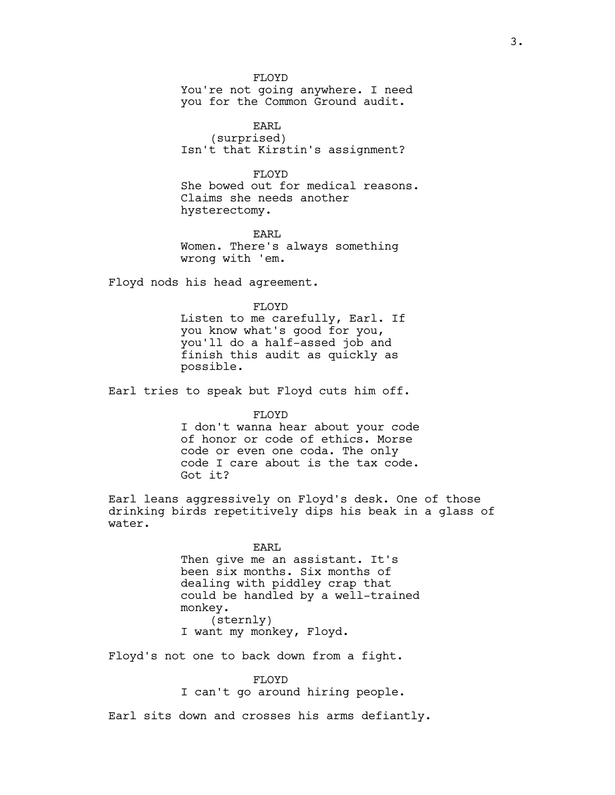FLOYD

You're not going anywhere. I need you for the Common Ground audit.

EARL (surprised) Isn't that Kirstin's assignment?

FLOYD She bowed out for medical reasons. Claims she needs another hysterectomy.

EARL Women. There's always something wrong with 'em.

Floyd nods his head agreement.

FLOYD

Listen to me carefully, Earl. If you know what's good for you, you'll do a half-assed job and finish this audit as quickly as possible.

Earl tries to speak but Floyd cuts him off.

FLOYD

I don't wanna hear about your code of honor or code of ethics. Morse code or even one coda. The only code I care about is the tax code. Got it?

Earl leans aggressively on Floyd's desk. One of those drinking birds repetitively dips his beak in a glass of water.

> EARL Then give me an assistant. It's been six months. Six months of dealing with piddley crap that could be handled by a well-trained monkey. (sternly) I want my monkey, Floyd.

Floyd's not one to back down from a fight.

FLOYD

I can't go around hiring people.

Earl sits down and crosses his arms defiantly.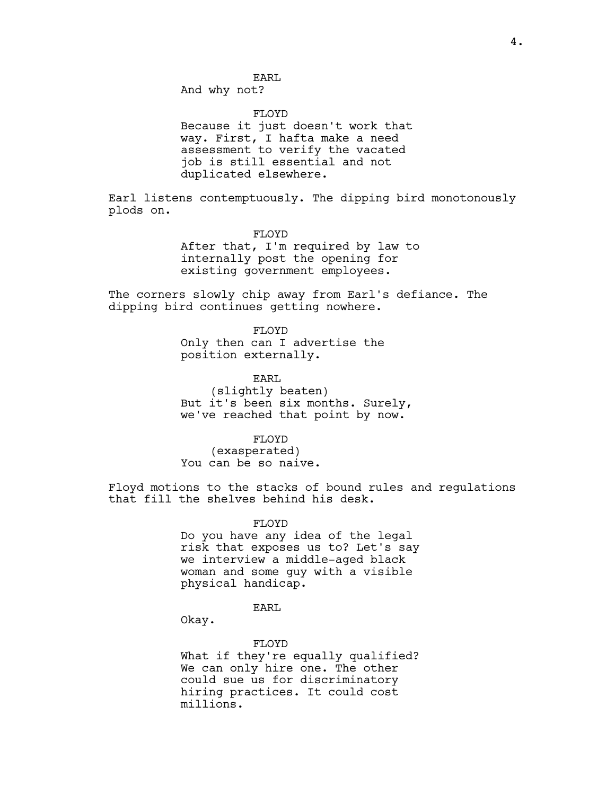EARL

And why not?

FLOYD

Because it just doesn't work that way. First, I hafta make a need assessment to verify the vacated job is still essential and not duplicated elsewhere.

Earl listens contemptuously. The dipping bird monotonously plods on.

FLOYD

After that, I'm required by law to internally post the opening for existing government employees.

The corners slowly chip away from Earl's defiance. The dipping bird continues getting nowhere.

> FLOYD Only then can I advertise the position externally.

EARL (slightly beaten) But it's been six months. Surely, we've reached that point by now.

> FLOYD (exasperated)

You can be so naive.

Floyd motions to the stacks of bound rules and regulations that fill the shelves behind his desk.

> FLOYD Do you have any idea of the legal risk that exposes us to? Let's say we interview a middle-aged black woman and some guy with a visible physical handicap.

> > EARL

Okay.

FLOYD

What if they're equally qualified? We can only hire one. The other could sue us for discriminatory hiring practices. It could cost millions.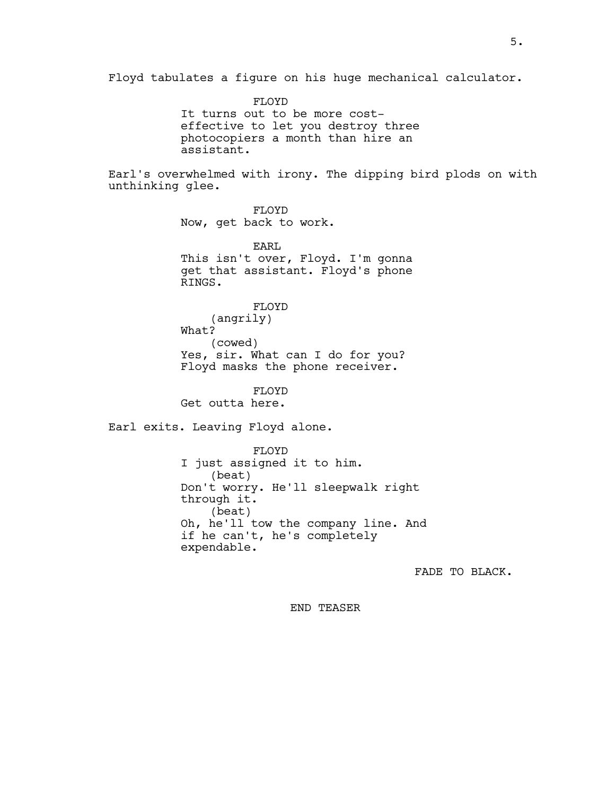Floyd tabulates a figure on his huge mechanical calculator.

FLOYD It turns out to be more costeffective to let you destroy three photocopiers a month than hire an assistant.

Earl's overwhelmed with irony. The dipping bird plods on with unthinking glee.

> FLOYD Now, get back to work.

EARL This isn't over, Floyd. I'm gonna get that assistant. Floyd's phone RINGS.

FLOYD (angrily) What? (cowed) Yes, sir. What can I do for you? Floyd masks the phone receiver.

FLOYD Get outta here.

Earl exits. Leaving Floyd alone.

FLOYD I just assigned it to him. (beat) Don't worry. He'll sleepwalk right through it. (beat) Oh, he'll tow the company line. And if he can't, he's completely expendable.

FADE TO BLACK.

END TEASER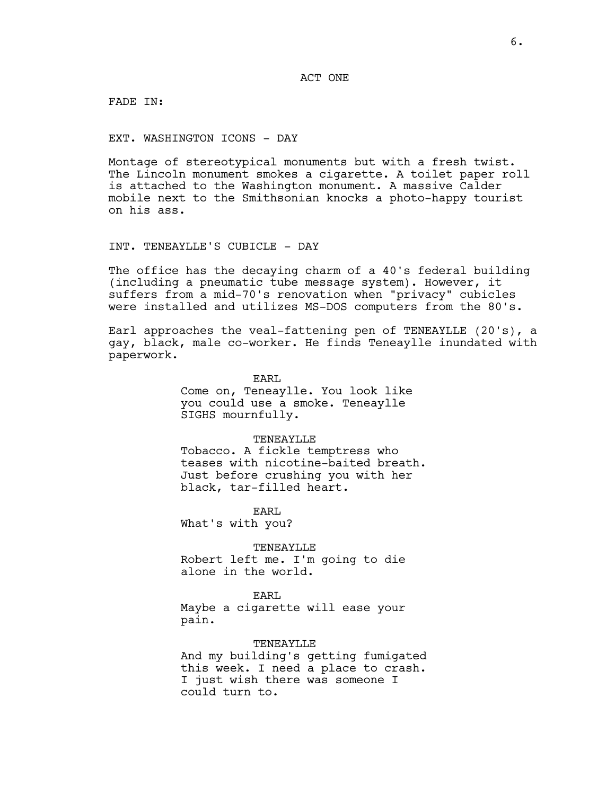FADE IN:

## EXT. WASHINGTON ICONS - DAY

Montage of stereotypical monuments but with a fresh twist. The Lincoln monument smokes a cigarette. A toilet paper roll is attached to the Washington monument. A massive Calder mobile next to the Smithsonian knocks a photo-happy tourist on his ass.

## INT. TENEAYLLE'S CUBICLE - DAY

The office has the decaying charm of a 40's federal building (including a pneumatic tube message system). However, it suffers from a mid-70's renovation when "privacy" cubicles were installed and utilizes MS-DOS computers from the 80's.

Earl approaches the veal-fattening pen of TENEAYLLE (20's), a gay, black, male co-worker. He finds Teneaylle inundated with paperwork.

> EARL Come on, Teneaylle. You look like you could use a smoke. Teneaylle SIGHS mournfully.

#### TENEAYLLE

Tobacco. A fickle temptress who teases with nicotine-baited breath. Just before crushing you with her black, tar-filled heart.

EARL

What's with you?

TENEAYLLE Robert left me. I'm going to die alone in the world.

EARL

Maybe a cigarette will ease your pain.

#### TENEAYLLE

And my building's getting fumigated this week. I need a place to crash. I just wish there was someone I could turn to.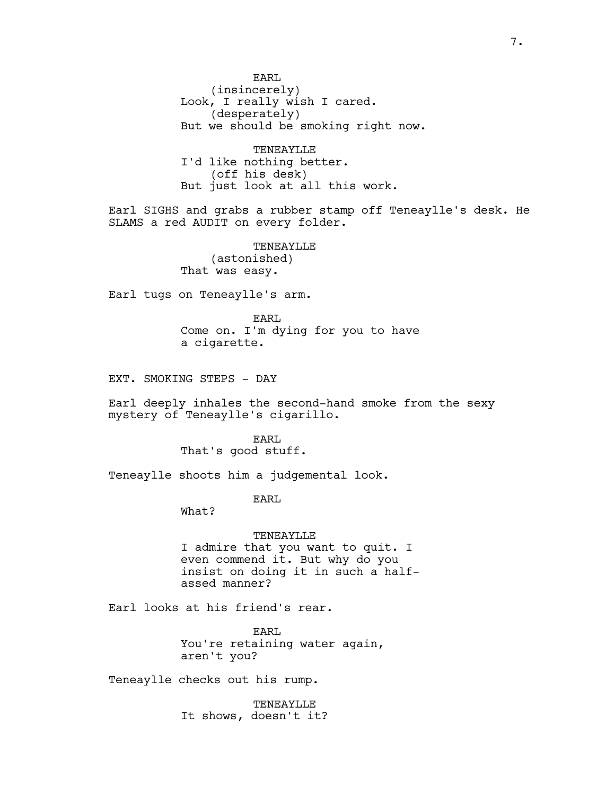EARL (insincerely) Look, I really wish I cared. (desperately) But we should be smoking right now.

TENEAYLLE I'd like nothing better. (off his desk) But just look at all this work.

Earl SIGHS and grabs a rubber stamp off Teneaylle's desk. He SLAMS a red AUDIT on every folder.

> TENEAYLLE (astonished) That was easy.

Earl tugs on Teneaylle's arm.

EARL Come on. I'm dying for you to have a cigarette.

EXT. SMOKING STEPS - DAY

Earl deeply inhales the second-hand smoke from the sexy mystery of Teneaylle's cigarillo.

> EARL That's good stuff.

Teneaylle shoots him a judgemental look.

EARL

What?

### TENEAYLLE

I admire that you want to quit. I even commend it. But why do you insist on doing it in such a halfassed manner?

Earl looks at his friend's rear.

EARL You're retaining water again, aren't you?

Teneaylle checks out his rump.

TENEAYLLE It shows, doesn't it?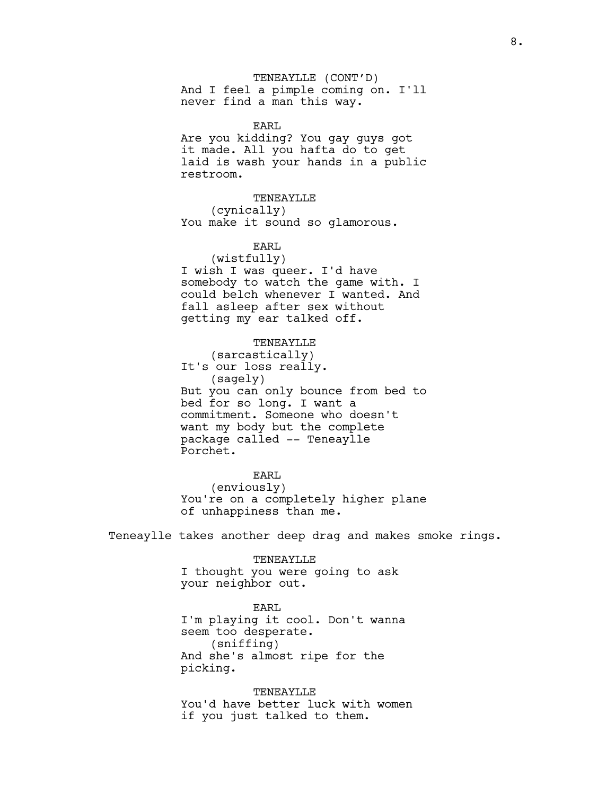TENEAYLLE (CONT'D) And I feel a pimple coming on. I'll never find a man this way.

EARL

Are you kidding? You gay guys got it made. All you hafta do to get laid is wash your hands in a public restroom.

TENEAYLLE (cynically) You make it sound so glamorous.

EARL

(wistfully) I wish I was queer. I'd have somebody to watch the game with. I could belch whenever I wanted. And fall asleep after sex without getting my ear talked off.

## TENEAYLLE

(sarcastically) It's our loss really. (sagely) But you can only bounce from bed to bed for so long. I want a commitment. Someone who doesn't want my body but the complete package called -- Teneaylle Porchet.

## EARL

(enviously) You're on a completely higher plane of unhappiness than me.

Teneaylle takes another deep drag and makes smoke rings.

#### TENEAYLLE

I thought you were going to ask your neighbor out.

EARL I'm playing it cool. Don't wanna seem too desperate. (sniffing)

And she's almost ripe for the picking.

**TENEAYLLE** You'd have better luck with women if you just talked to them.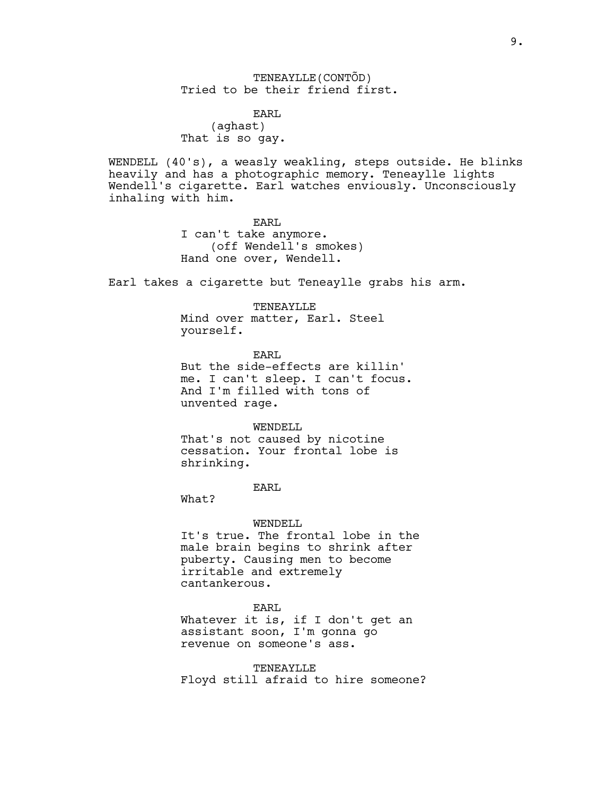TENEAYLLE(CONTÕD) Tried to be their friend first.

EARL (aghast) That is so gay.

WENDELL (40's), a weasly weakling, steps outside. He blinks heavily and has a photographic memory. Teneaylle lights Wendell's cigarette. Earl watches enviously. Unconsciously inhaling with him.

> EARL I can't take anymore. (off Wendell's smokes) Hand one over, Wendell.

Earl takes a cigarette but Teneaylle grabs his arm.

## TENEAYLLE

Mind over matter, Earl. Steel yourself.

EARL But the side-effects are killin' me. I can't sleep. I can't focus. And I'm filled with tons of unvented rage.

WENDELL. That's not caused by nicotine cessation. Your frontal lobe is shrinking.

EARL

What?

### WENDELL.

It's true. The frontal lobe in the male brain begins to shrink after puberty. Causing men to become irritable and extremely cantankerous.

EARL

Whatever it is, if I don't get an assistant soon, I'm gonna go revenue on someone's ass.

TENEAYLLE Floyd still afraid to hire someone?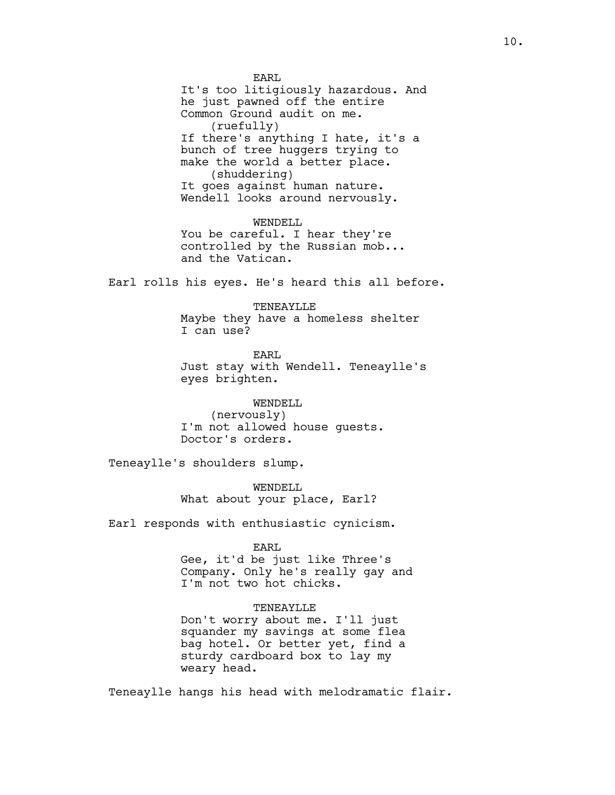EARL It's too litigiously hazardous. And he just pawned off the entire Common Ground audit on me. (ruefully) If there's anything I hate, it's a bunch of tree huggers trying to make the world a better place. (shuddering) It goes against human nature. Wendell looks around nervously.

WENDELL You be careful. I hear they're controlled by the Russian mob... and the Vatican.

Earl rolls his eyes. He's heard this all before.

TENEAYLLE Maybe they have a homeless shelter I can use?

EARL Just stay with Wendell. Teneaylle's eyes brighten.

WENDELL (nervously) I'm not allowed house guests. Doctor's orders.

Teneaylle's shoulders slump.

WENDELL What about your place, Earl?

Earl responds with enthusiastic cynicism.

EARL

Gee, it'd be just like Three's Company. Only he's really gay and I'm not two hot chicks.

## TENEAYLLE

Don't worry about me. I'll just squander my savings at some flea bag hotel. Or better yet, find a sturdy cardboard box to lay my weary head.

Teneaylle hangs his head with melodramatic flair.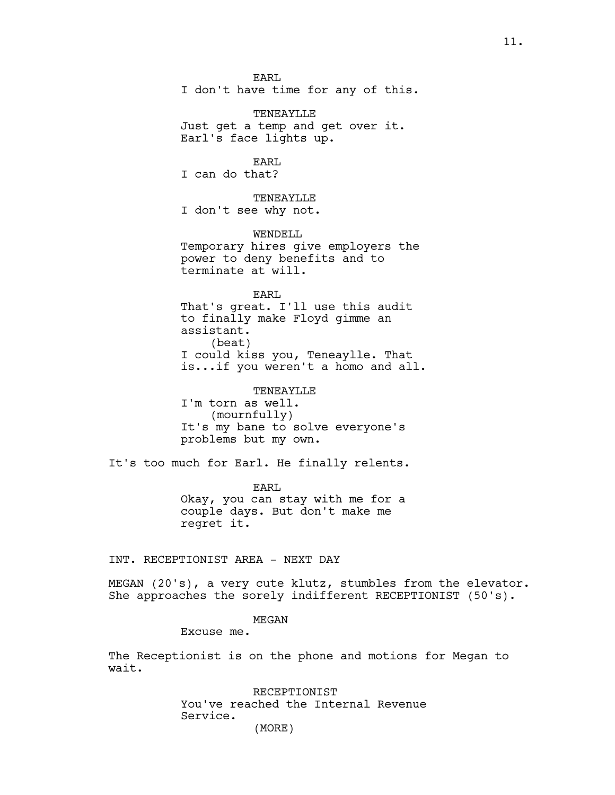EARL I don't have time for any of this.

TENEAYLLE Just get a temp and get over it. Earl's face lights up.

EARL I can do that?

TENEAYLLE I don't see why not.

WENDELL Temporary hires give employers the power to deny benefits and to terminate at will.

EARL

That's great. I'll use this audit to finally make Floyd gimme an assistant. (beat) I could kiss you, Teneaylle. That is...if you weren't a homo and all.

TENEAYLLE

I'm torn as well. (mournfully) It's my bane to solve everyone's problems but my own.

It's too much for Earl. He finally relents.

EARL Okay, you can stay with me for a couple days. But don't make me regret it.

INT. RECEPTIONIST AREA - NEXT DAY

MEGAN (20's), a very cute klutz, stumbles from the elevator. She approaches the sorely indifferent RECEPTIONIST (50's).

MEGAN

Excuse me.

The Receptionist is on the phone and motions for Megan to wait.

> RECEPTIONIST You've reached the Internal Revenue Service. (MORE)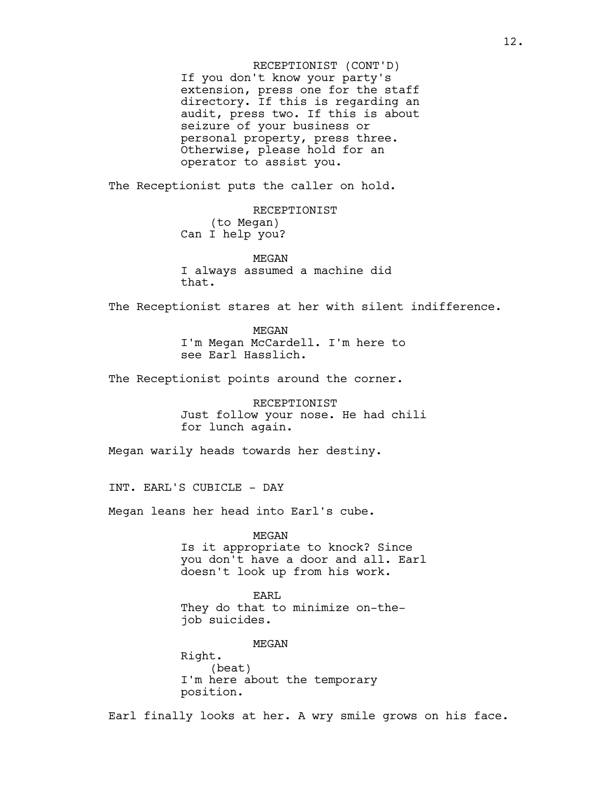If you don't know your party's extension, press one for the staff directory. If this is regarding an audit, press two. If this is about seizure of your business or personal property, press three. Otherwise, please hold for an operator to assist you. RECEPTIONIST (CONT'D)

The Receptionist puts the caller on hold.

RECEPTIONIST (to Megan) Can I help you?

MEGAN I always assumed a machine did that.

The Receptionist stares at her with silent indifference.

MEGAN I'm Megan McCardell. I'm here to see Earl Hasslich.

The Receptionist points around the corner.

RECEPTIONIST Just follow your nose. He had chili for lunch again.

Megan warily heads towards her destiny.

INT. EARL'S CUBICLE - DAY

Megan leans her head into Earl's cube.

MEGAN

Is it appropriate to knock? Since you don't have a door and all. Earl doesn't look up from his work.

EARL They do that to minimize on-thejob suicides.

MEGAN Right. (beat) I'm here about the temporary position.

Earl finally looks at her. A wry smile grows on his face.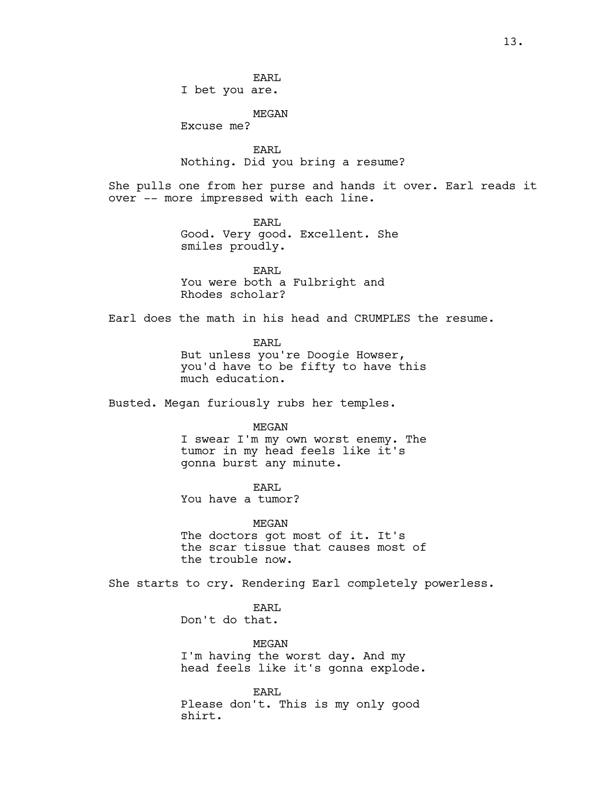13.

EARL I bet you are.

MEGAN

Excuse me?

EARL Nothing. Did you bring a resume?

She pulls one from her purse and hands it over. Earl reads it over -- more impressed with each line.

> EARL Good. Very good. Excellent. She smiles proudly.

EARL You were both a Fulbright and Rhodes scholar?

Earl does the math in his head and CRUMPLES the resume.

EARL

But unless you're Doogie Howser, you'd have to be fifty to have this much education.

Busted. Megan furiously rubs her temples.

MEGAN

I swear I'm my own worst enemy. The tumor in my head feels like it's gonna burst any minute.

EARL

You have a tumor?

MEGAN The doctors got most of it. It's the scar tissue that causes most of the trouble now.

She starts to cry. Rendering Earl completely powerless.

EARL Don't do that.

MEGAN

I'm having the worst day. And my head feels like it's gonna explode.

EARL Please don't. This is my only good shirt.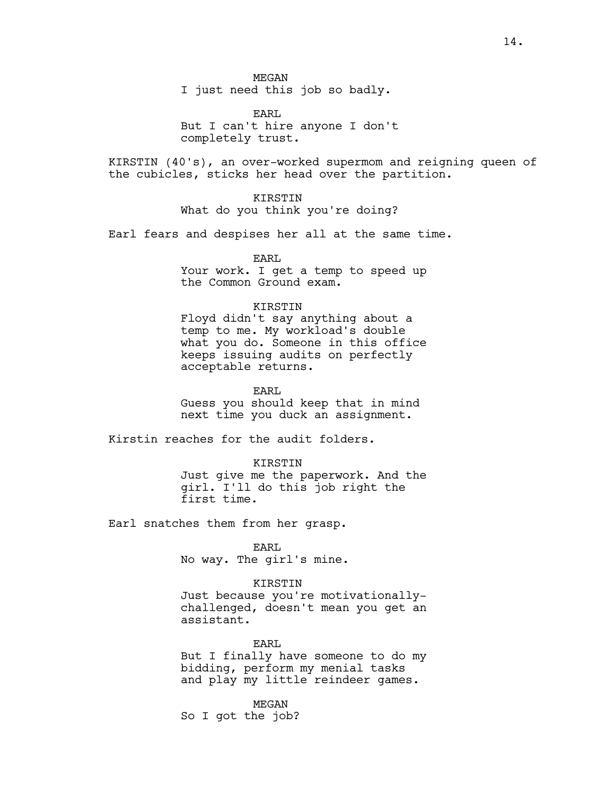I just need this job so badly.

EARL But I can't hire anyone I don't completely trust.

KIRSTIN (40's), an over-worked supermom and reigning queen of the cubicles, sticks her head over the partition.

> KIRSTIN What do you think you're doing?

Earl fears and despises her all at the same time.

EARL Your work. I get a temp to speed up the Common Ground exam.

### KIRSTIN

Floyd didn't say anything about a temp to me. My workload's double what you do. Someone in this office keeps issuing audits on perfectly acceptable returns.

EARL

Guess you should keep that in mind next time you duck an assignment.

Kirstin reaches for the audit folders.

#### KIRSTIN

Just give me the paperwork. And the girl. I'll do this job right the first time.

Earl snatches them from her grasp.

EARL No way. The girl's mine.

### KIRSTIN

Just because you're motivationallychallenged, doesn't mean you get an assistant.

#### EARL

But I finally have someone to do my bidding, perform my menial tasks and play my little reindeer games.

MEGAN

So I got the job?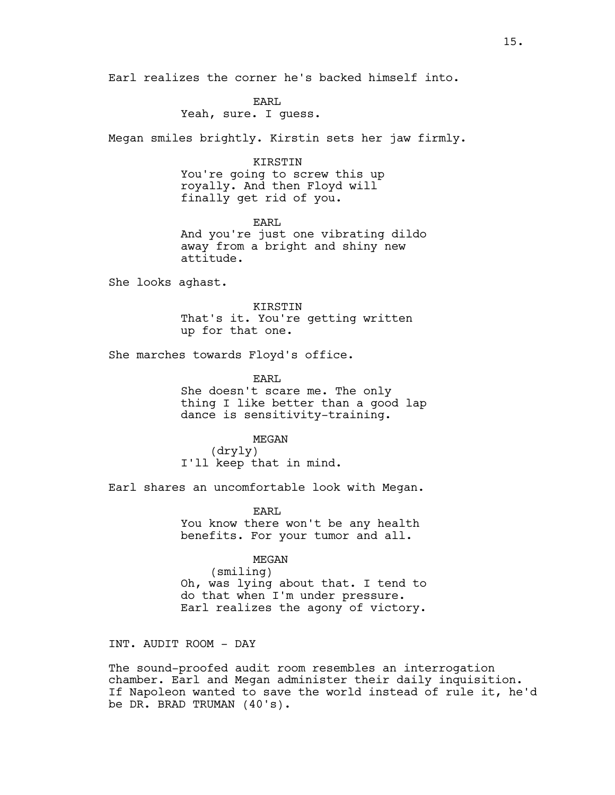Earl realizes the corner he's backed himself into.

EARL Yeah, sure. I guess.

Megan smiles brightly. Kirstin sets her jaw firmly.

#### KIRSTIN

You're going to screw this up royally. And then Floyd will finally get rid of you.

EARL And you're just one vibrating dildo away from a bright and shiny new attitude.

She looks aghast.

KIRSTIN That's it. You're getting written up for that one.

She marches towards Floyd's office.

EARL She doesn't scare me. The only thing I like better than a good lap dance is sensitivity-training.

MEGAN (dryly) I'll keep that in mind.

Earl shares an uncomfortable look with Megan.

EARL You know there won't be any health benefits. For your tumor and all.

#### MEGAN

(smiling) Oh, was lying about that. I tend to do that when I'm under pressure. Earl realizes the agony of victory.

INT. AUDIT ROOM - DAY

The sound-proofed audit room resembles an interrogation chamber. Earl and Megan administer their daily inquisition. If Napoleon wanted to save the world instead of rule it, he'd be DR. BRAD TRUMAN (40's).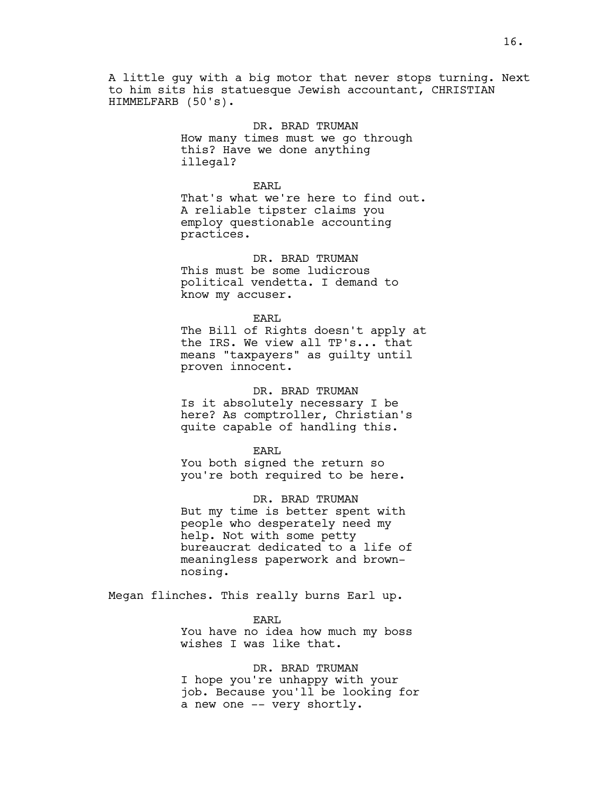A little guy with a big motor that never stops turning. Next to him sits his statuesque Jewish accountant, CHRISTIAN HIMMELFARB (50's).

> DR. BRAD TRUMAN How many times must we go through this? Have we done anything illegal?

> > EARL

That's what we're here to find out. A reliable tipster claims you employ questionable accounting practices.

DR. BRAD TRUMAN This must be some ludicrous political vendetta. I demand to know my accuser.

EARL The Bill of Rights doesn't apply at the IRS. We view all TP's... that means "taxpayers" as guilty until proven innocent.

DR. BRAD TRUMAN Is it absolutely necessary I be here? As comptroller, Christian's quite capable of handling this.

EARL You both signed the return so you're both required to be here.

DR. BRAD TRUMAN But my time is better spent with people who desperately need my help. Not with some petty bureaucrat dedicated to a life of meaningless paperwork and brownnosing.

Megan flinches. This really burns Earl up.

EARL You have no idea how much my boss wishes I was like that.

DR. BRAD TRUMAN I hope you're unhappy with your job. Because you'll be looking for a new one -- very shortly.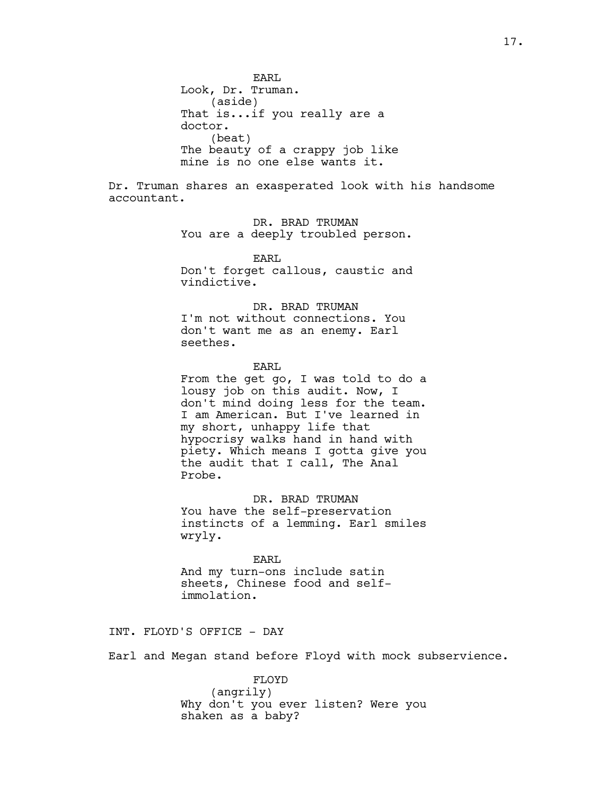EARL Look, Dr. Truman. (aside) That is...if you really are a doctor. (beat) The beauty of a crappy job like mine is no one else wants it.

Dr. Truman shares an exasperated look with his handsome accountant.

> DR. BRAD TRUMAN You are a deeply troubled person.

> EARL Don't forget callous, caustic and vindictive.

DR. BRAD TRUMAN I'm not without connections. You don't want me as an enemy. Earl seethes.

EARL From the get go, I was told to do a lousy job on this audit. Now, I don't mind doing less for the team. I am American. But I've learned in my short, unhappy life that hypocrisy walks hand in hand with piety. Which means I gotta give you the audit that I call, The Anal Probe.

DR. BRAD TRUMAN You have the self-preservation instincts of a lemming. Earl smiles wryly.

EARL And my turn-ons include satin sheets, Chinese food and selfimmolation.

INT. FLOYD'S OFFICE - DAY

Earl and Megan stand before Floyd with mock subservience.

FLOYD (angrily) Why don't you ever listen? Were you shaken as a baby?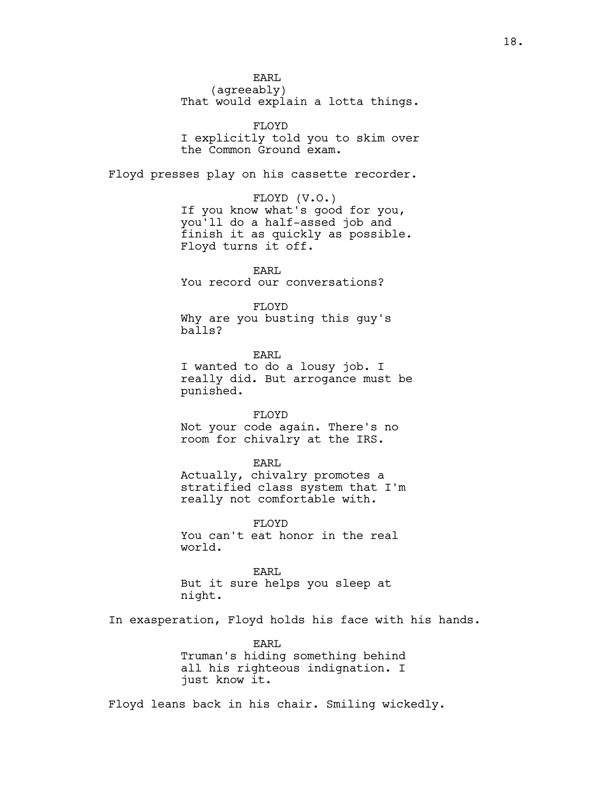EARL (agreeably) That would explain a lotta things.

FLOYD I explicitly told you to skim over the Common Ground exam.

Floyd presses play on his cassette recorder.

FLOYD (V.O.) If you know what's good for you, you'll do a half-assed job and finish it as quickly as possible. Floyd turns it off.

EARL You record our conversations?

FLOYD

Why are you busting this guy's balls?

EARL I wanted to do a lousy job. I really did. But arrogance must be punished.

FLOYD Not your code again. There's no

room for chivalry at the IRS.

EARL

Actually, chivalry promotes a stratified class system that I'm really not comfortable with.

FLOYD You can't eat honor in the real world.

EARL

But it sure helps you sleep at night.

In exasperation, Floyd holds his face with his hands.

EARL Truman's hiding something behind all his righteous indignation. I just know it.

Floyd leans back in his chair. Smiling wickedly.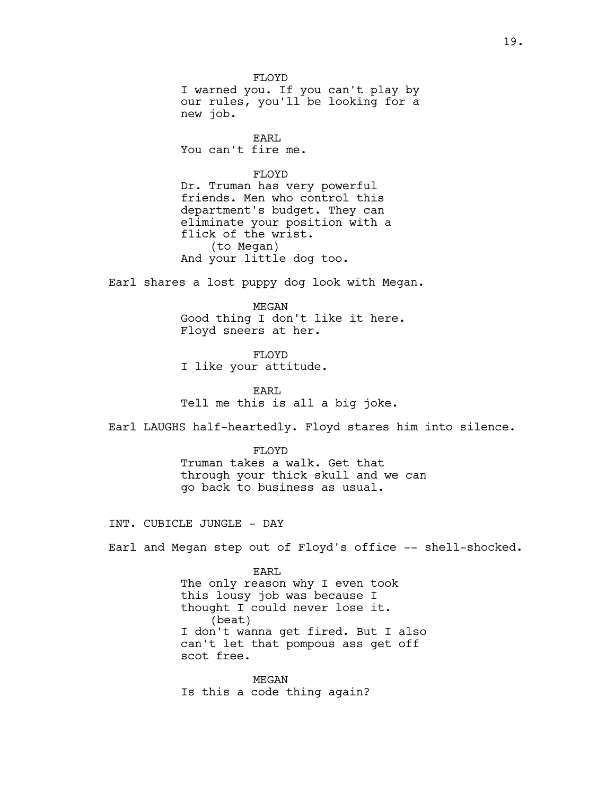FLOYD I warned you. If you can't play by our rules, you'll be looking for a new job.

EARL You can't fire me.

## FLOYD

Dr. Truman has very powerful friends. Men who control this department's budget. They can eliminate your position with a flick of the wrist. (to Megan) And your little dog too.

Earl shares a lost puppy dog look with Megan.

MEGAN Good thing I don't like it here. Floyd sneers at her.

FLOYD I like your attitude.

EARL Tell me this is all a big joke.

Earl LAUGHS half-heartedly. Floyd stares him into silence.

FLOYD Truman takes a walk. Get that through your thick skull and we can go back to business as usual.

INT. CUBICLE JUNGLE - DAY

Earl and Megan step out of Floyd's office -- shell-shocked.

EARL The only reason why I even took this lousy job was because I thought I could never lose it. (beat) I don't wanna get fired. But I also can't let that pompous ass get off scot free.

MEGAN Is this a code thing again?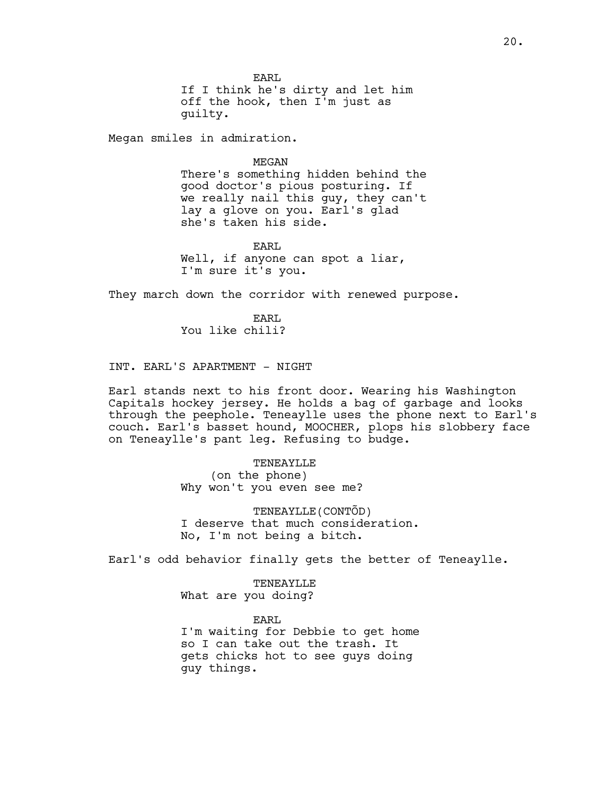EARL If I think he's dirty and let him off the hook, then I'm just as guilty.

Megan smiles in admiration.

MEGAN

There's something hidden behind the good doctor's pious posturing. If we really nail this guy, they can't lay a glove on you. Earl's glad she's taken his side.

EARL Well, if anyone can spot a liar, I'm sure it's you.

They march down the corridor with renewed purpose.

EARL You like chili?

INT. EARL'S APARTMENT - NIGHT

Earl stands next to his front door. Wearing his Washington Capitals hockey jersey. He holds a bag of garbage and looks through the peephole. Teneaylle uses the phone next to Earl's couch. Earl's basset hound, MOOCHER, plops his slobbery face on Teneaylle's pant leg. Refusing to budge.

> TENEAYLLE (on the phone) Why won't you even see me?

TENEAYLLE(CONTÕD) I deserve that much consideration. No, I'm not being a bitch.

Earl's odd behavior finally gets the better of Teneaylle.

TENEAYLLE What are you doing?

EARL I'm waiting for Debbie to get home so I can take out the trash. It gets chicks hot to see guys doing guy things.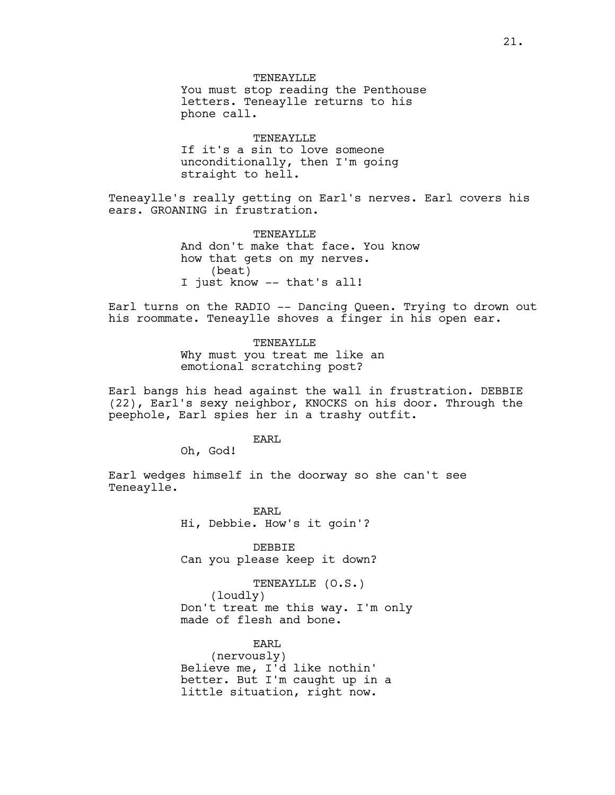## TENEAYLLE If it's a sin to love someone unconditionally, then I'm going straight to hell.

Teneaylle's really getting on Earl's nerves. Earl covers his ears. GROANING in frustration.

> **TENEAYLLE** And don't make that face. You know how that gets on my nerves. (beat) I just know -- that's all!

Earl turns on the RADIO -- Dancing Queen. Trying to drown out his roommate. Teneaylle shoves a finger in his open ear.

> TENEAYLLE Why must you treat me like an emotional scratching post?

Earl bangs his head against the wall in frustration. DEBBIE (22), Earl's sexy neighbor, KNOCKS on his door. Through the peephole, Earl spies her in a trashy outfit.

EARL

Oh, God!

Earl wedges himself in the doorway so she can't see Teneaylle.

> EARL Hi, Debbie. How's it goin'?

DEBBIE Can you please keep it down?

TENEAYLLE (O.S.) (loudly) Don't treat me this way. I'm only made of flesh and bone.

EARL (nervously) Believe me, I'd like nothin' better. But I'm caught up in a little situation, right now.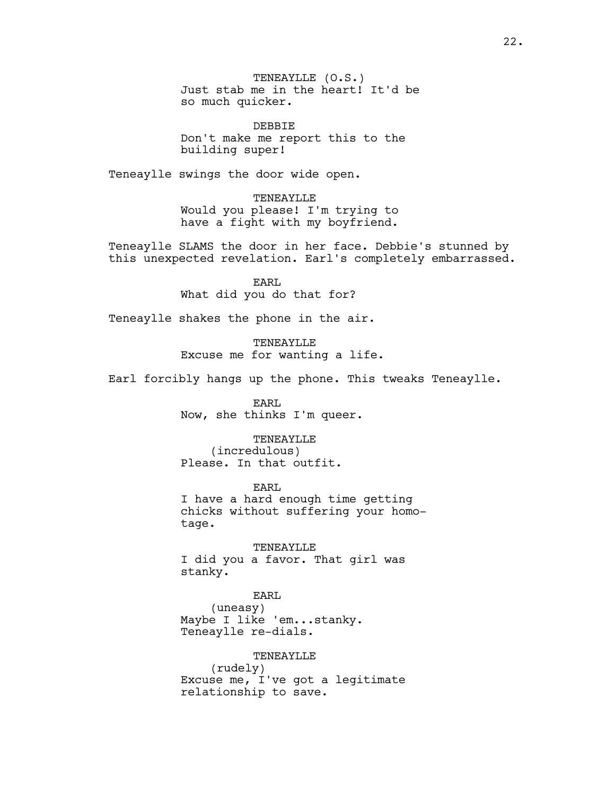TENEAYLLE (O.S.) Just stab me in the heart! It'd be so much quicker.

DEBBIE Don't make me report this to the building super!

Teneaylle swings the door wide open.

TENEAYLLE Would you please! I'm trying to have a fight with my boyfriend.

Teneaylle SLAMS the door in her face. Debbie's stunned by this unexpected revelation. Earl's completely embarrassed.

> EARL What did you do that for?

Teneaylle shakes the phone in the air.

**TENEAYLLE** Excuse me for wanting a life.

Earl forcibly hangs up the phone. This tweaks Teneaylle.

EARL Now, she thinks I'm queer.

TENEAYLLE (incredulous) Please. In that outfit.

EARL I have a hard enough time getting chicks without suffering your homotage.

TENEAYLLE I did you a favor. That girl was stanky.

EARL (uneasy) Maybe I like 'em...stanky. Teneaylle re-dials.

TENEAYLLE (rudely) Excuse me, I've got a legitimate relationship to save.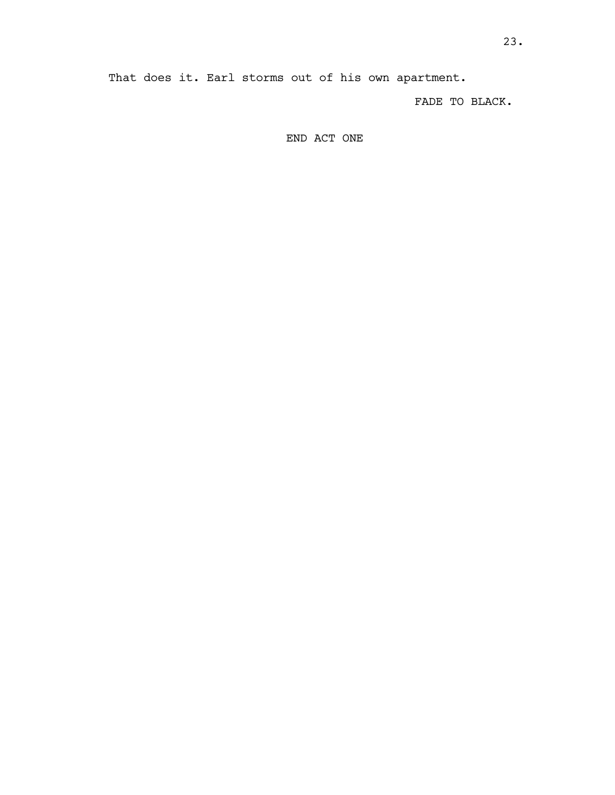FADE TO BLACK.

END ACT ONE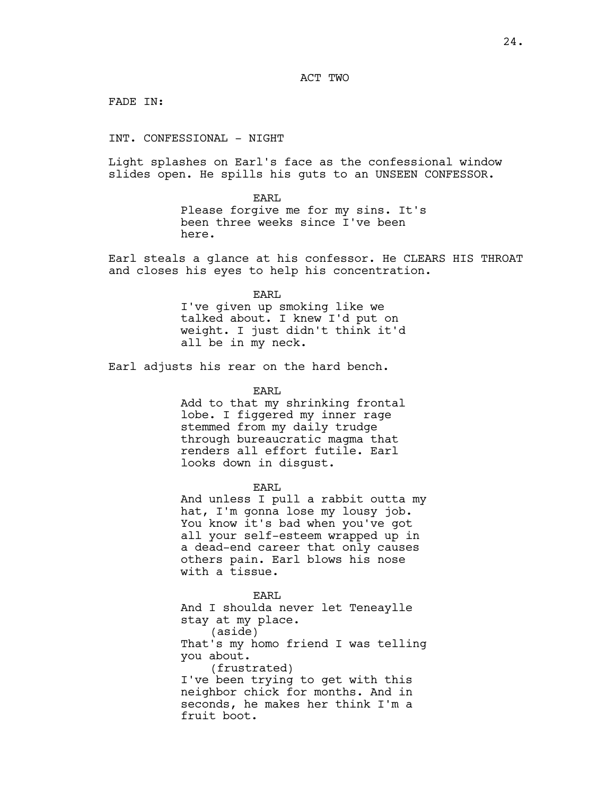## ACT TWO

FADE IN:

INT. CONFESSIONAL - NIGHT

Light splashes on Earl's face as the confessional window slides open. He spills his guts to an UNSEEN CONFESSOR.

## EARL

Please forgive me for my sins. It's been three weeks since I've been here.

Earl steals a glance at his confessor. He CLEARS HIS THROAT and closes his eyes to help his concentration.

#### EARL

I've given up smoking like we talked about. I knew I'd put on weight. I just didn't think it'd all be in my neck.

Earl adjusts his rear on the hard bench.

### EARL

Add to that my shrinking frontal lobe. I figgered my inner rage stemmed from my daily trudge through bureaucratic magma that renders all effort futile. Earl looks down in disgust.

EARL

And unless I pull a rabbit outta my hat, I'm gonna lose my lousy job. You know it's bad when you've got all your self-esteem wrapped up in a dead-end career that only causes others pain. Earl blows his nose with a tissue.

#### EARL

And I shoulda never let Teneaylle stay at my place. (aside) That's my homo friend I was telling you about. (frustrated) I've been trying to get with this neighbor chick for months. And in seconds, he makes her think I'm a fruit boot.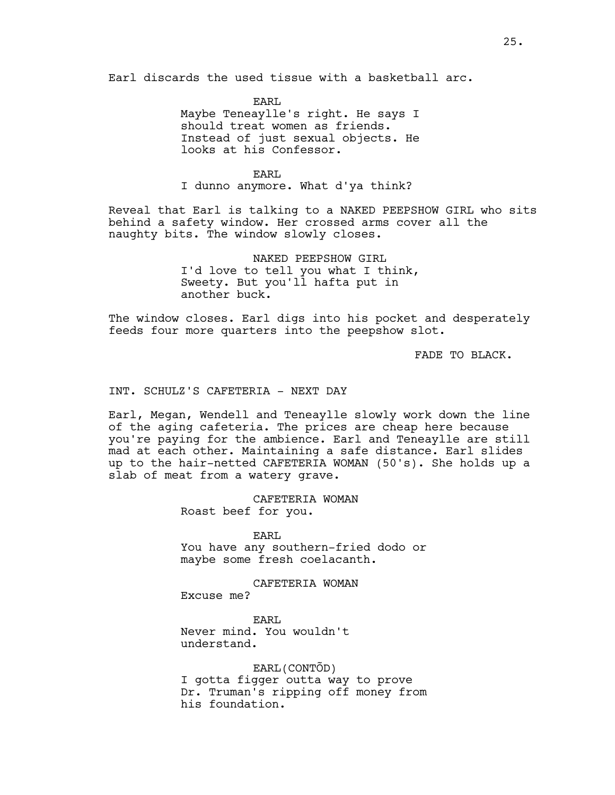Earl discards the used tissue with a basketball arc.

EARL Maybe Teneaylle's right. He says I should treat women as friends. Instead of just sexual objects. He looks at his Confessor.

### EARL

I dunno anymore. What d'ya think?

Reveal that Earl is talking to a NAKED PEEPSHOW GIRL who sits behind a safety window. Her crossed arms cover all the naughty bits. The window slowly closes.

> NAKED PEEPSHOW GIRL I'd love to tell you what I think, Sweety. But you'll hafta put in another buck.

The window closes. Earl digs into his pocket and desperately feeds four more quarters into the peepshow slot.

FADE TO BLACK.

INT. SCHULZ'S CAFETERIA - NEXT DAY

Earl, Megan, Wendell and Teneaylle slowly work down the line of the aging cafeteria. The prices are cheap here because you're paying for the ambience. Earl and Teneaylle are still mad at each other. Maintaining a safe distance. Earl slides up to the hair-netted CAFETERIA WOMAN (50's). She holds up a slab of meat from a watery grave.

> CAFETERIA WOMAN Roast beef for you.

EARL You have any southern-fried dodo or maybe some fresh coelacanth.

CAFETERIA WOMAN Excuse me?

EARL Never mind. You wouldn't understand.

EARL(CONTÕD) I gotta figger outta way to prove Dr. Truman's ripping off money from his foundation.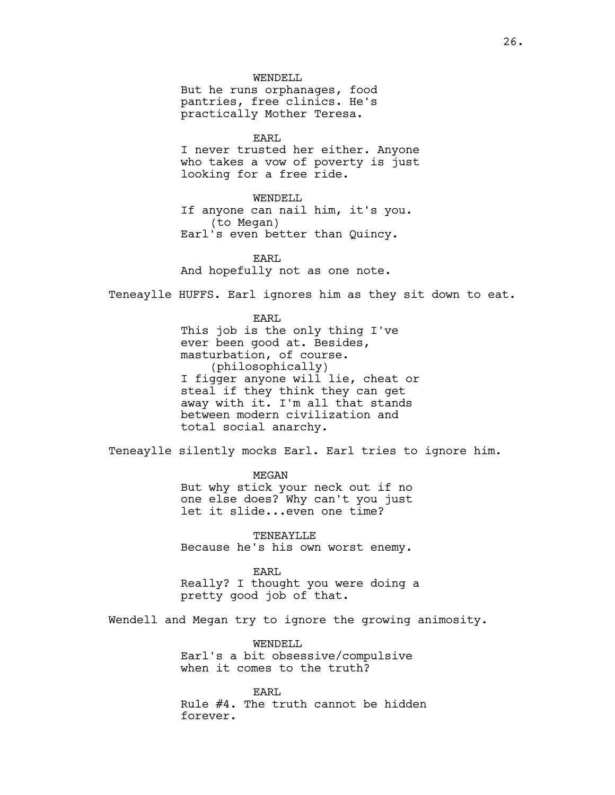WENDELL. But he runs orphanages, food pantries, free clinics. He's practically Mother Teresa.

EARL

I never trusted her either. Anyone who takes a vow of poverty is just looking for a free ride.

WENDELL If anyone can nail him, it's you. (to Megan) Earl's even better than Quincy.

EARL And hopefully not as one note.

Teneaylle HUFFS. Earl ignores him as they sit down to eat.

# EARL

This job is the only thing I've ever been good at. Besides, masturbation, of course. (philosophically) I figger anyone will lie, cheat or steal if they think they can get away with it. I'm all that stands between modern civilization and total social anarchy.

Teneaylle silently mocks Earl. Earl tries to ignore him.

MEGAN But why stick your neck out if no one else does? Why can't you just let it slide...even one time?

TENEAYLLE Because he's his own worst enemy.

EARL Really? I thought you were doing a pretty good job of that.

Wendell and Megan try to ignore the growing animosity.

WENDELL Earl's a bit obsessive/compulsive when it comes to the truth?

EARL Rule #4. The truth cannot be hidden forever.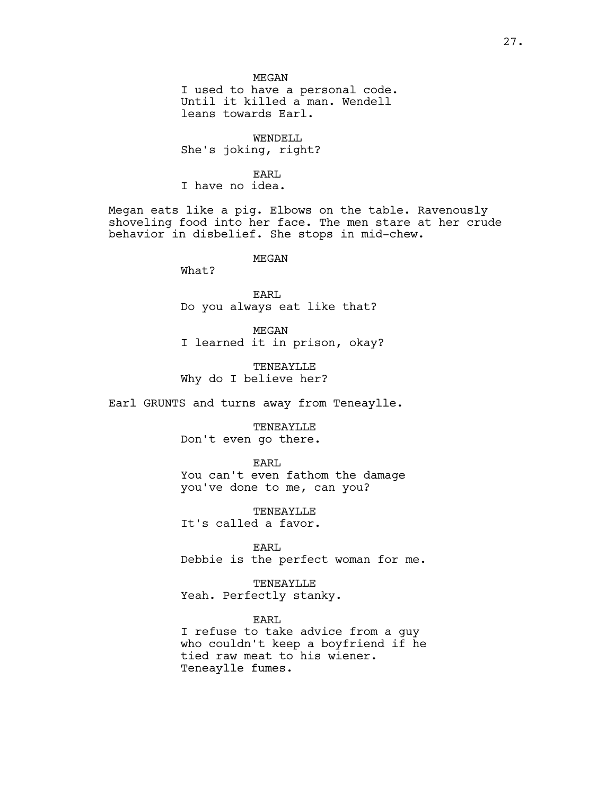I used to have a personal code. Until it killed a man. Wendell leans towards Earl.

WENDELL She's joking, right?

## EARL

I have no idea.

Megan eats like a pig. Elbows on the table. Ravenously shoveling food into her face. The men stare at her crude behavior in disbelief. She stops in mid-chew.

MEGAN

What?

EARL Do you always eat like that?

MEGAN I learned it in prison, okay?

TENEAYLLE Why do I believe her?

Earl GRUNTS and turns away from Teneaylle.

**TENEAYLLE** Don't even go there.

#### EARL

You can't even fathom the damage you've done to me, can you?

TENEAYLLE It's called a favor.

EARL Debbie is the perfect woman for me.

TENEAYLLE Yeah. Perfectly stanky.

EARL I refuse to take advice from a guy who couldn't keep a boyfriend if he tied raw meat to his wiener. Teneaylle fumes.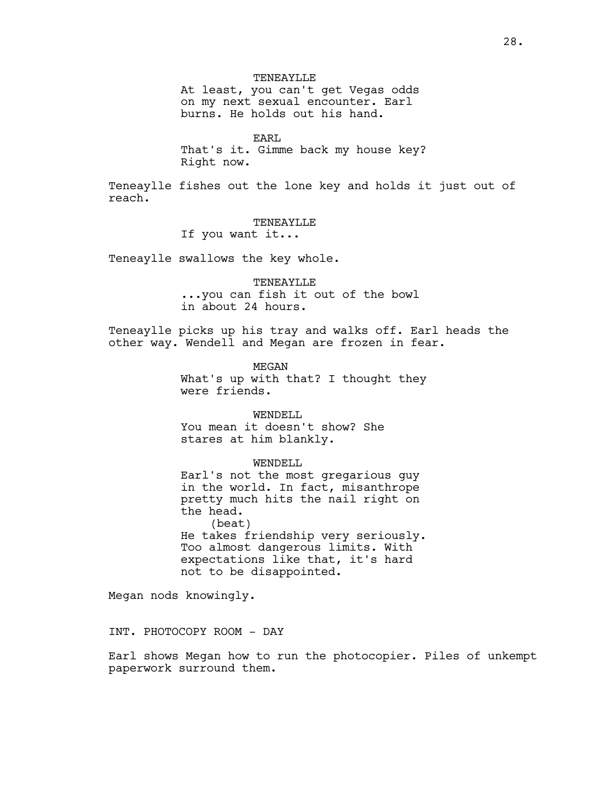TENEAYLLE At least, you can't get Vegas odds on my next sexual encounter. Earl burns. He holds out his hand.

EARL That's it. Gimme back my house key? Right now.

Teneaylle fishes out the lone key and holds it just out of reach.

### TENEAYLLE

If you want it...

Teneaylle swallows the key whole.

TENEAYLLE ...you can fish it out of the bowl in about 24 hours.

Teneaylle picks up his tray and walks off. Earl heads the other way. Wendell and Megan are frozen in fear.

> MEGAN What's up with that? I thought they were friends.

WENDELL You mean it doesn't show? She stares at him blankly.

#### WENDELL

Earl's not the most gregarious guy in the world. In fact, misanthrope pretty much hits the nail right on the head. (beat) He takes friendship very seriously. Too almost dangerous limits. With expectations like that, it's hard not to be disappointed.

Megan nods knowingly.

INT. PHOTOCOPY ROOM - DAY

Earl shows Megan how to run the photocopier. Piles of unkempt paperwork surround them.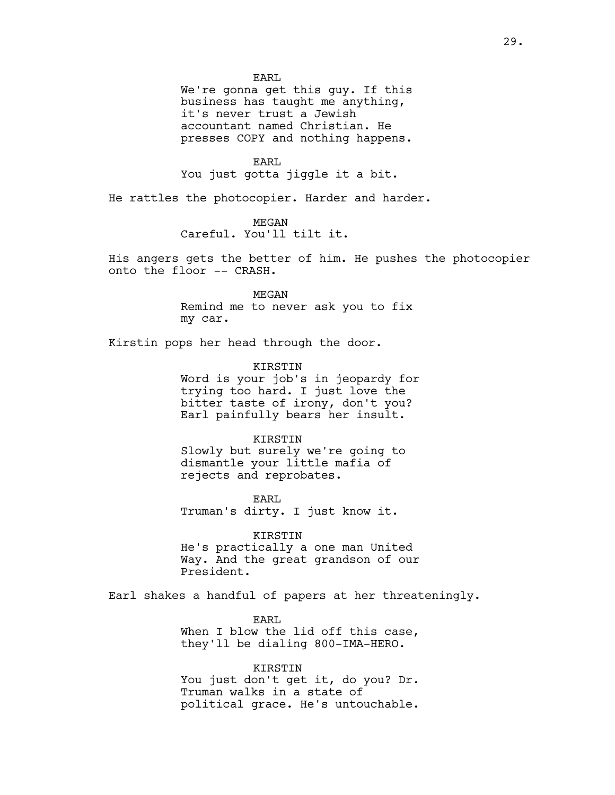EARL

We're gonna get this guy. If this business has taught me anything, it's never trust a Jewish accountant named Christian. He presses COPY and nothing happens.

EARL

You just gotta jiggle it a bit.

He rattles the photocopier. Harder and harder.

MEGAN Careful. You'll tilt it.

His angers gets the better of him. He pushes the photocopier onto the floor -- CRASH.

> MEGAN Remind me to never ask you to fix my car.

Kirstin pops her head through the door.

KIRSTIN Word is your job's in jeopardy for trying too hard. I just love the bitter taste of irony, don't you? Earl painfully bears her insult.

### KIRSTIN

Slowly but surely we're going to dismantle your little mafia of rejects and reprobates.

EARL Truman's dirty. I just know it.

KIRSTIN He's practically a one man United Way. And the great grandson of our President.

Earl shakes a handful of papers at her threateningly.

EARL When I blow the lid off this case, they'll be dialing 800-IMA-HERO.

KIRSTIN You just don't get it, do you? Dr. Truman walks in a state of political grace. He's untouchable.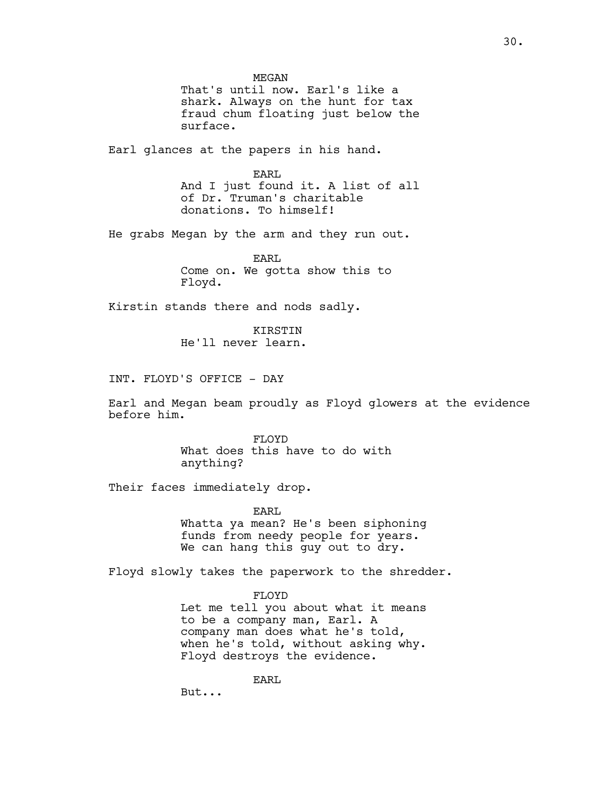MEGAN That's until now. Earl's like a shark. Always on the hunt for tax fraud chum floating just below the surface.

Earl glances at the papers in his hand.

EARL And I just found it. A list of all of Dr. Truman's charitable donations. To himself!

He grabs Megan by the arm and they run out.

EARL Come on. We gotta show this to Floyd.

Kirstin stands there and nods sadly.

KIRSTIN He'll never learn.

INT. FLOYD'S OFFICE - DAY

Earl and Megan beam proudly as Floyd glowers at the evidence before him.

> FLOYD What does this have to do with anything?

Their faces immediately drop.

EARL Whatta ya mean? He's been siphoning funds from needy people for years. We can hang this guy out to dry.

Floyd slowly takes the paperwork to the shredder.

## FLOYD

Let me tell you about what it means to be a company man, Earl. A company man does what he's told, when he's told, without asking why. Floyd destroys the evidence.

EARL

But...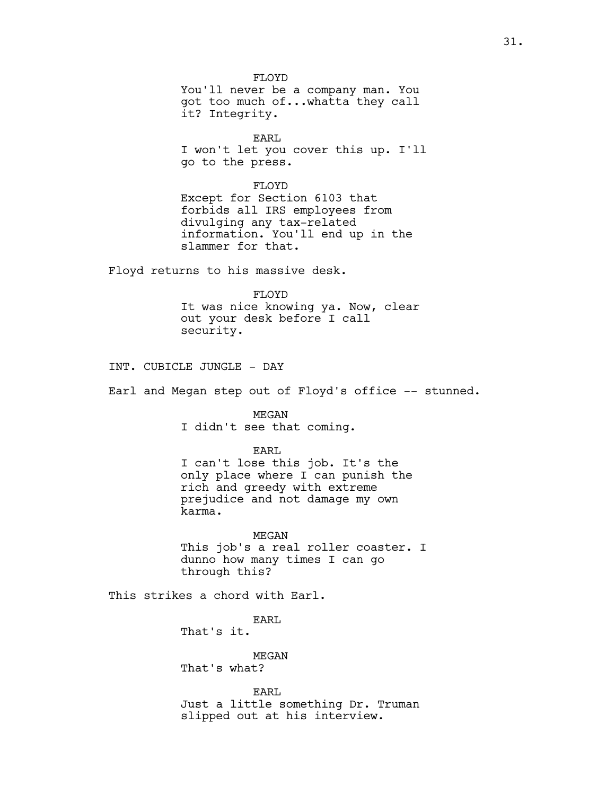FLOYD You'll never be a company man. You got too much of...whatta they call it? Integrity.

EARL I won't let you cover this up. I'll go to the press.

FLOYD Except for Section 6103 that forbids all IRS employees from divulging any tax-related information. You'll end up in the slammer for that.

Floyd returns to his massive desk.

FLOYD

It was nice knowing ya. Now, clear out your desk before I call security.

INT. CUBICLE JUNGLE - DAY

Earl and Megan step out of Floyd's office -- stunned.

MEGAN I didn't see that coming.

EARL

I can't lose this job. It's the only place where I can punish the rich and greedy with extreme prejudice and not damage my own karma.

MEGAN This job's a real roller coaster. I dunno how many times I can go through this?

This strikes a chord with Earl.

EARL That's it.

MEGAN That's what?

EARL Just a little something Dr. Truman slipped out at his interview.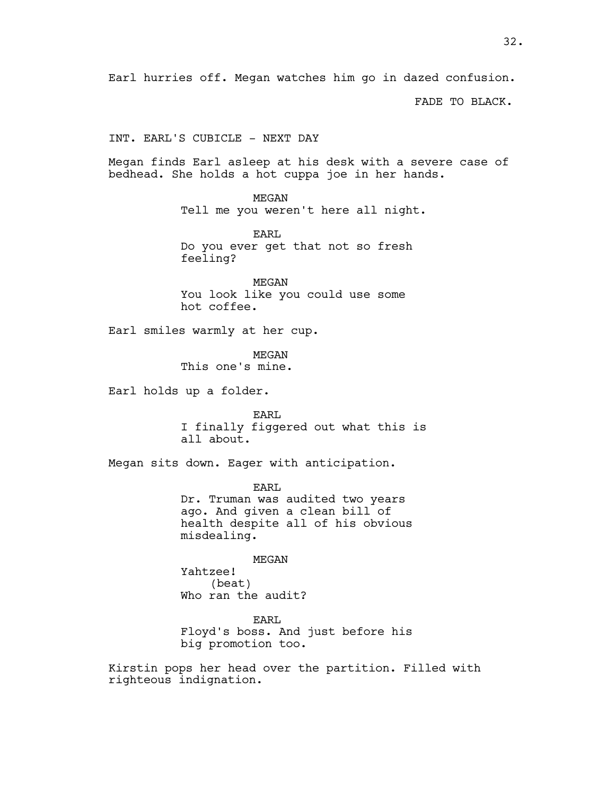Earl hurries off. Megan watches him go in dazed confusion.

FADE TO BLACK.

INT. EARL'S CUBICLE - NEXT DAY

Megan finds Earl asleep at his desk with a severe case of bedhead. She holds a hot cuppa joe in her hands.

> MEGAN Tell me you weren't here all night.

EARL Do you ever get that not so fresh feeling?

MEGAN You look like you could use some hot coffee.

Earl smiles warmly at her cup.

MEGAN This one's mine.

Earl holds up a folder.

EARL I finally figgered out what this is all about.

Megan sits down. Eager with anticipation.

EARL Dr. Truman was audited two years ago. And given a clean bill of health despite all of his obvious misdealing.

MEGAN Yahtzee! (beat)

Who ran the audit?

EARL Floyd's boss. And just before his big promotion too.

Kirstin pops her head over the partition. Filled with righteous indignation.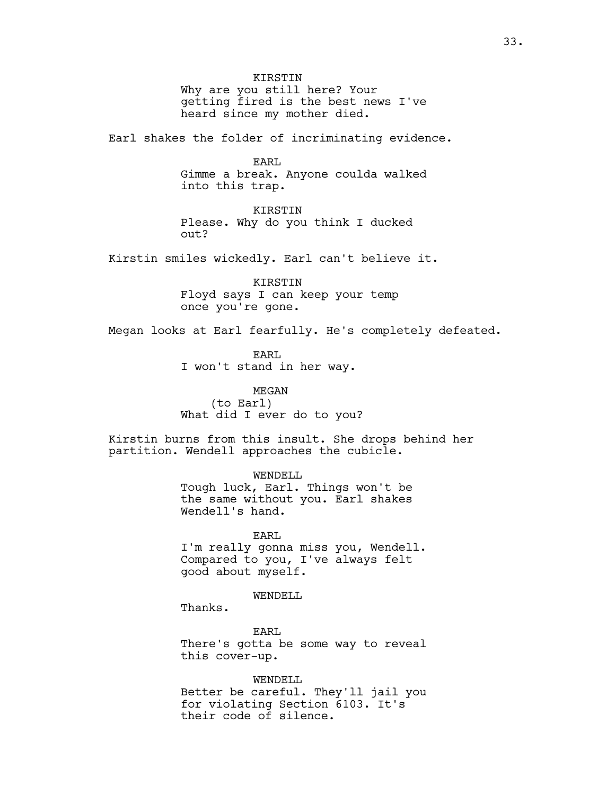**KIRSTIN** 

Why are you still here? Your getting fired is the best news I've heard since my mother died.

Earl shakes the folder of incriminating evidence.

EARL

Gimme a break. Anyone coulda walked into this trap.

KIRSTIN Please. Why do you think I ducked out?

Kirstin smiles wickedly. Earl can't believe it.

KIRSTIN Floyd says I can keep your temp once you're gone.

Megan looks at Earl fearfully. He's completely defeated.

EARL I won't stand in her way.

MEGAN (to Earl) What did I ever do to you?

Kirstin burns from this insult. She drops behind her partition. Wendell approaches the cubicle.

> WENDELL Tough luck, Earl. Things won't be the same without you. Earl shakes Wendell's hand.

EARL I'm really gonna miss you, Wendell. Compared to you, I've always felt good about myself.

WENDELL

Thanks.

EARL There's gotta be some way to reveal this cover-up.

WENDELL Better be careful. They'll jail you for violating Section 6103. It's their code of silence.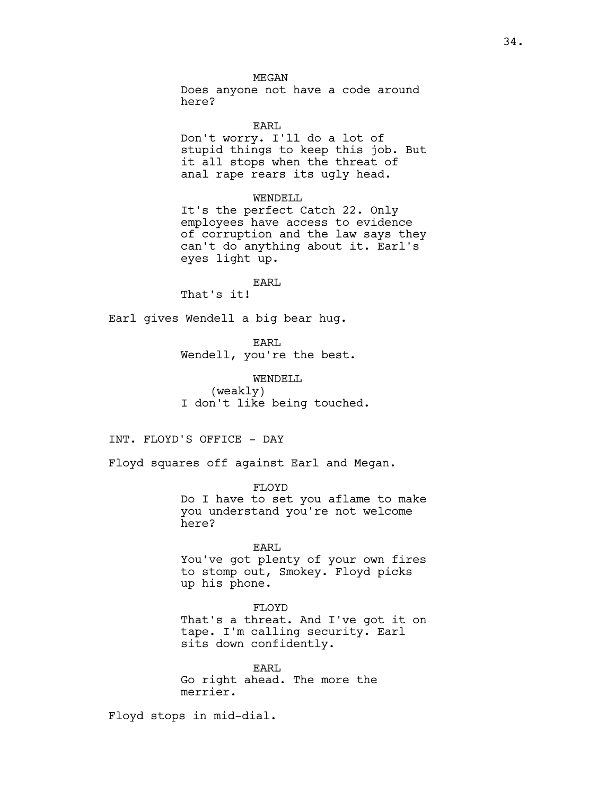MEGAN

Does anyone not have a code around here?

EARL Don't worry. I'll do a lot of stupid things to keep this job. But it all stops when the threat of anal rape rears its ugly head.

#### WENDELL

It's the perfect Catch 22. Only employees have access to evidence of corruption and the law says they can't do anything about it. Earl's eyes light up.

## EARL

That's it!

Earl gives Wendell a big bear hug.

EARL Wendell, you're the best.

WENDELL (weakly) I don't like being touched.

INT. FLOYD'S OFFICE - DAY

Floyd squares off against Earl and Megan.

FLOYD Do I have to set you aflame to make you understand you're not welcome here?

## EARL

You've got plenty of your own fires to stomp out, Smokey. Floyd picks up his phone.

### FLOYD

That's a threat. And I've got it on tape. I'm calling security. Earl sits down confidently.

EARL Go right ahead. The more the merrier.

Floyd stops in mid-dial.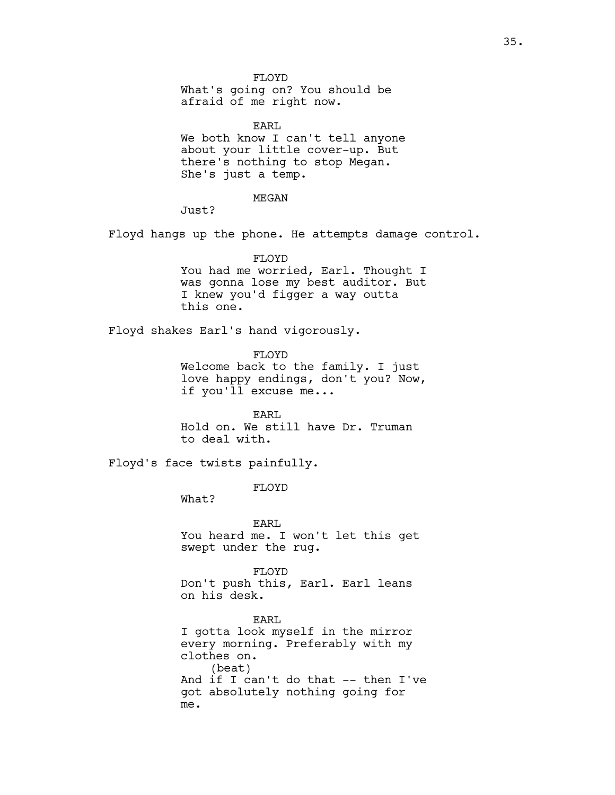FLOYD What's going on? You should be afraid of me right now.

EARL We both know I can't tell anyone about your little cover-up. But there's nothing to stop Megan. She's just a temp.

## MEGAN

Just?

Floyd hangs up the phone. He attempts damage control.

FLOYD You had me worried, Earl. Thought I was gonna lose my best auditor. But I knew you'd figger a way outta this one.

Floyd shakes Earl's hand vigorously.

FLOYD Welcome back to the family. I just love happy endings, don't you? Now, if you'll excuse me...

EARL Hold on. We still have Dr. Truman to deal with.

Floyd's face twists painfully.

FLOYD

What?

EARL You heard me. I won't let this get swept under the rug.

FLOYD Don't push this, Earl. Earl leans on his desk.

EARL I gotta look myself in the mirror every morning. Preferably with my clothes on. (beat) And if I can't do that -- then I've got absolutely nothing going for me.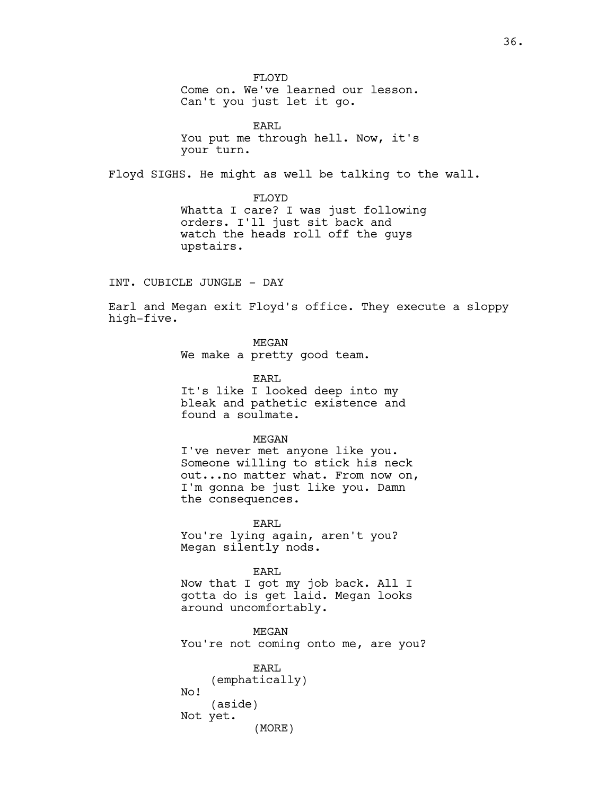FLOYD Come on. We've learned our lesson. Can't you just let it go.

EARL You put me through hell. Now, it's your turn.

Floyd SIGHS. He might as well be talking to the wall.

FLOYD Whatta I care? I was just following orders. I'll just sit back and watch the heads roll off the guys upstairs.

INT. CUBICLE JUNGLE - DAY

Earl and Megan exit Floyd's office. They execute a sloppy high-five.

MEGAN

We make a pretty good team.

EARL

It's like I looked deep into my bleak and pathetic existence and found a soulmate.

MEGAN

I've never met anyone like you. Someone willing to stick his neck out...no matter what. From now on, I'm gonna be just like you. Damn the consequences.

EARL You're lying again, aren't you? Megan silently nods.

EARL Now that I got my job back. All I gotta do is get laid. Megan looks around uncomfortably.

MEGAN You're not coming onto me, are you?

EARL (emphatically) No! (aside) Not yet. (MORE)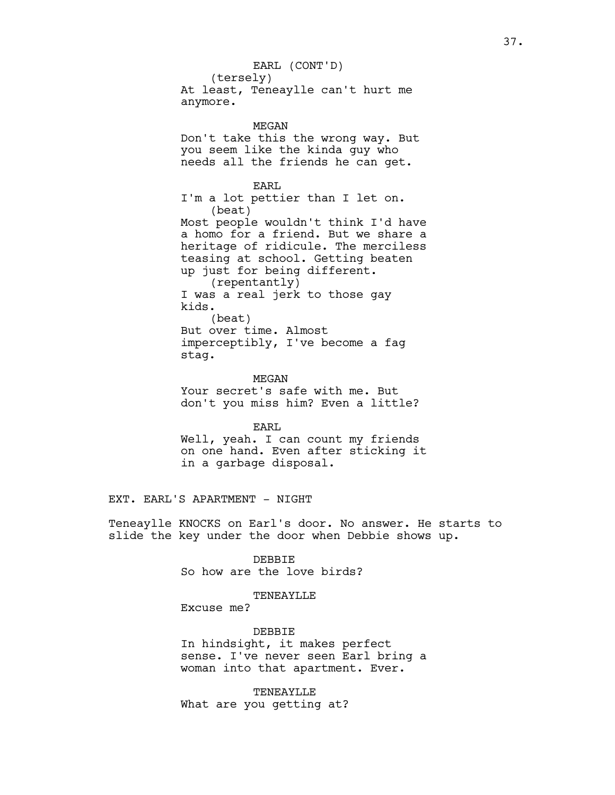(tersely) At least, Teneaylle can't hurt me anymore. EARL (CONT'D)

MEGAN Don't take this the wrong way. But you seem like the kinda guy who needs all the friends he can get.

EARL I'm a lot pettier than I let on. (beat) Most people wouldn't think I'd have a homo for a friend. But we share a heritage of ridicule. The merciless teasing at school. Getting beaten up just for being different. (repentantly) I was a real jerk to those gay kids. (beat) But over time. Almost imperceptibly, I've become a fag stag.

MEGAN Your secret's safe with me. But don't you miss him? Even a little?

EARL Well, yeah. I can count my friends on one hand. Even after sticking it in a garbage disposal.

EXT. EARL'S APARTMENT - NIGHT

Teneaylle KNOCKS on Earl's door. No answer. He starts to slide the key under the door when Debbie shows up.

> DEBBIE So how are the love birds?

#### TENEAYLLE

Excuse me?

DEBBIE

In hindsight, it makes perfect sense. I've never seen Earl bring a woman into that apartment. Ever.

**TENEAYLLE** What are you getting at?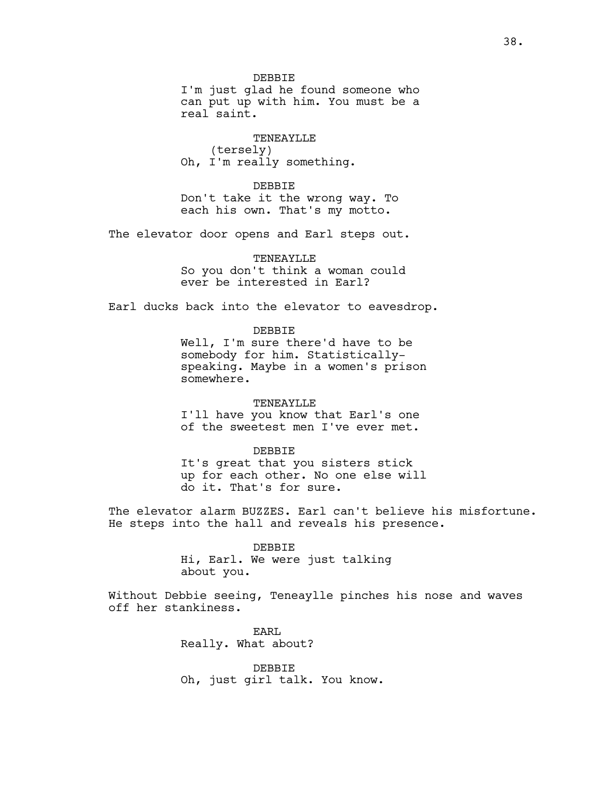DEBBIE I'm just glad he found someone who can put up with him. You must be a real saint.

TENEAYLLE (tersely) Oh, I'm really something.

DEBBIE Don't take it the wrong way. To each his own. That's my motto.

The elevator door opens and Earl steps out.

TENEAYLLE So you don't think a woman could ever be interested in Earl?

Earl ducks back into the elevator to eavesdrop.

DEBBIE

Well, I'm sure there'd have to be somebody for him. Statisticallyspeaking. Maybe in a women's prison somewhere.

TENEAYLLE I'll have you know that Earl's one of the sweetest men I've ever met.

DEBBIE It's great that you sisters stick up for each other. No one else will do it. That's for sure.

The elevator alarm BUZZES. Earl can't believe his misfortune. He steps into the hall and reveals his presence.

> DEBBIE Hi, Earl. We were just talking about you.

Without Debbie seeing, Teneaylle pinches his nose and waves off her stankiness.

> EARL Really. What about?

DEBBIE Oh, just girl talk. You know.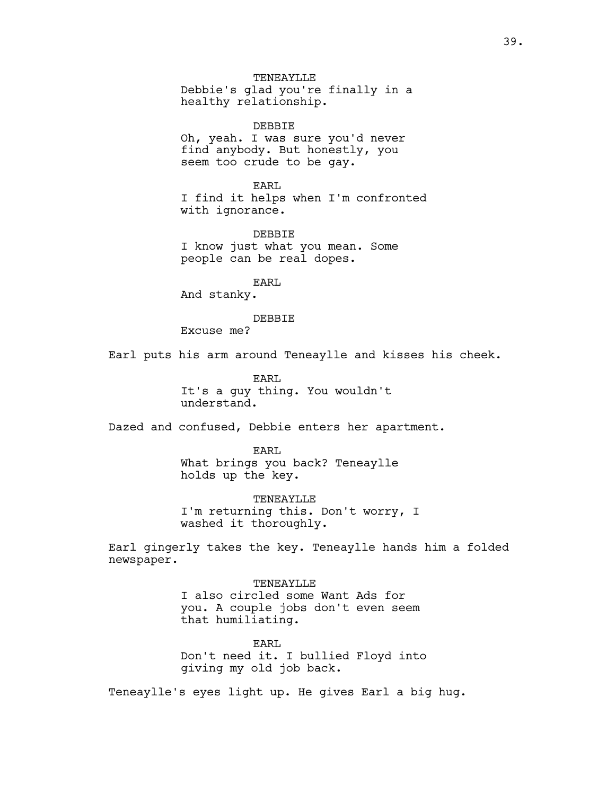### TENEAYLLE

Debbie's glad you're finally in a healthy relationship.

DEBBIE Oh, yeah. I was sure you'd never find anybody. But honestly, you seem too crude to be gay.

EARL I find it helps when I'm confronted with ignorance.

DEBBIE I know just what you mean. Some people can be real dopes.

EARL

And stanky.

## DEBBIE

Excuse me?

Earl puts his arm around Teneaylle and kisses his cheek.

EARL It's a guy thing. You wouldn't understand.

Dazed and confused, Debbie enters her apartment.

EARL What brings you back? Teneaylle holds up the key.

TENEAYLLE I'm returning this. Don't worry, I washed it thoroughly.

Earl gingerly takes the key. Teneaylle hands him a folded newspaper.

> **TENEAYLLE** I also circled some Want Ads for you. A couple jobs don't even seem that humiliating.

EARL Don't need it. I bullied Floyd into giving my old job back.

Teneaylle's eyes light up. He gives Earl a big hug.